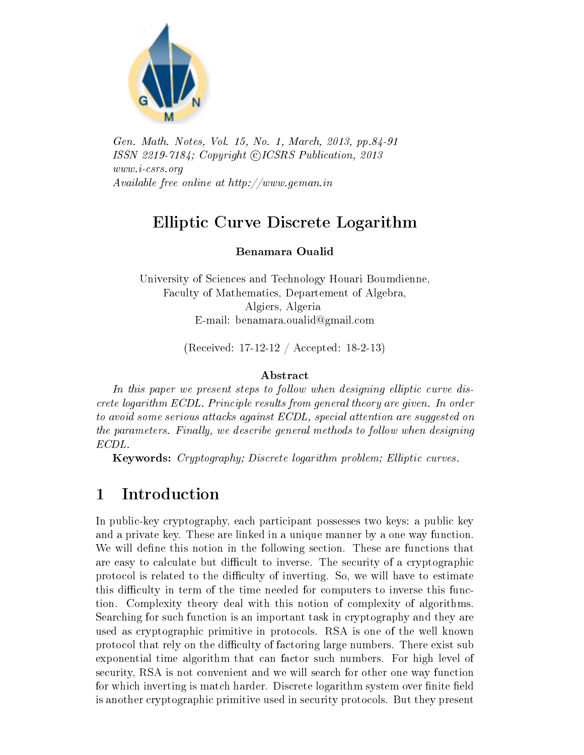

Gen. Math. Notes, Vol. 15, No. 1, March, 2013, pp.84-91 ISSN 2219-7184; Copyright  $\bigcirc$ ICSRS Publication, 2013 www.i-csrs.org Available free online at http://www.geman.in

# Elliptic Curve Discrete Logarithm

### Benamara Oualid

University of Sciences and Technology Houari Boumdienne, Faculty of Mathematics, Departement of Algebra, Algiers, Algeria E-mail: benamara.oualid@gmail.com

(Received: 17-12-12 / Accepted: 18-2-13)

### Abstract

In this paper we present steps to follow when designing elliptic curve discrete logarithm ECDL. Principle results from general theory are given. In order to avoid some serious attacks against ECDL, special attention are suggested on the parameters. Finally, we describe general methods to follow when designing ECDL.

Keywords: Cryptography; Discrete logarithm problem; Elliptic curves.

# 1 Introduction

In public-key cryptography, each participant possesses two keys: a public key and a private key. These are linked in a unique manner by a one way function. We will define this notion in the following section. These are functions that are easy to calculate but difficult to inverse. The security of a cryptographic protocol is related to the difficulty of inverting. So, we will have to estimate this difficulty in term of the time needed for computers to inverse this function. Complexity theory deal with this notion of complexity of algorithms. Searching for such function is an important task in cryptography and they are used as cryptographic primitive in protocols. RSA is one of the well known protocol that rely on the difficulty of factoring large numbers. There exist sub exponential time algorithm that can factor such numbers. For high level of security, RSA is not convenient and we will search for other one way function for which inverting is match harder. Discrete logarithm system over finite field is another cryptographic primitive used in security protocols. But they present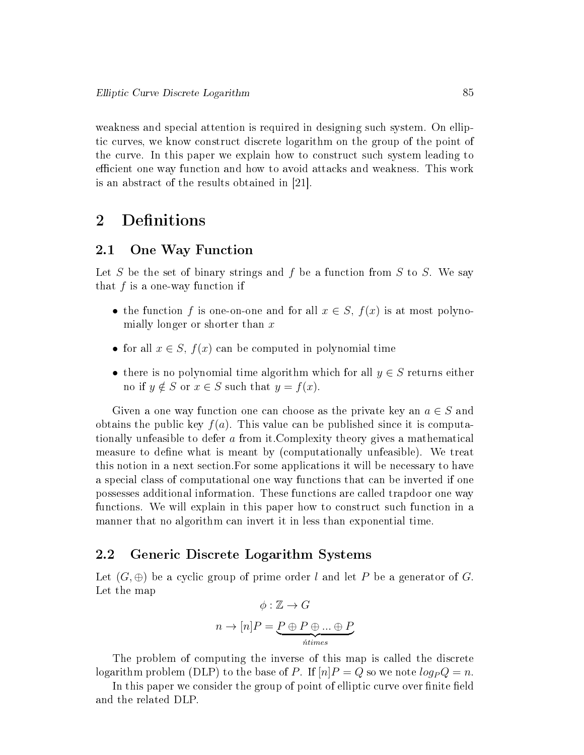weakness and special attention is required in designing such system. On elliptic curves, we know construct discrete logarithm on the group of the point of the curve. In this paper we explain how to construct such system leading to efficient one way function and how to avoid attacks and weakness. This work is an abstract of the results obtained in [21].

### 2 Definitions

### 2.1 One Way Function

Let S be the set of binary strings and  $f$  be a function from  $S$  to  $S$ . We say that  $f$  is a one-way function if

- the function f is one-on-one and for all  $x \in S$ ,  $f(x)$  is at most polynomially longer or shorter than  $x$
- for all  $x \in S$ ,  $f(x)$  can be computed in polynomial time
- there is no polynomial time algorithm which for all  $y \in S$  returns either no if  $y \notin S$  or  $x \in S$  such that  $y = f(x)$ .

Given a one way function one can choose as the private key an  $a \in S$  and obtains the public key  $f(a)$ . This value can be published since it is computationally unfeasible to defer a from it.Complexity theory gives a mathematical measure to define what is meant by (computationally unfeasible). We treat this notion in a next section.For some applications it will be necessary to have a special class of computational one way functions that can be inverted if one possesses additional information. These functions are called trapdoor one way functions. We will explain in this paper how to construct such function in a manner that no algorithm can invert it in less than exponential time.

### 2.2 Generic Discrete Logarithm Systems

Let  $(G, \oplus)$  be a cyclic group of prime order l and let P be a generator of G. Let the map

$$
\phi: \mathbb{Z} \to G
$$

$$
n \to [n]P = \underbrace{P \oplus P \oplus \dots \oplus P}_{\text{fitness}}
$$

The problem of computing the inverse of this map is called the discrete logarithm problem (DLP) to the base of P. If  $[n]P = Q$  so we note  $log_P Q = n$ .

In this paper we consider the group of point of elliptic curve over finite field and the related DLP.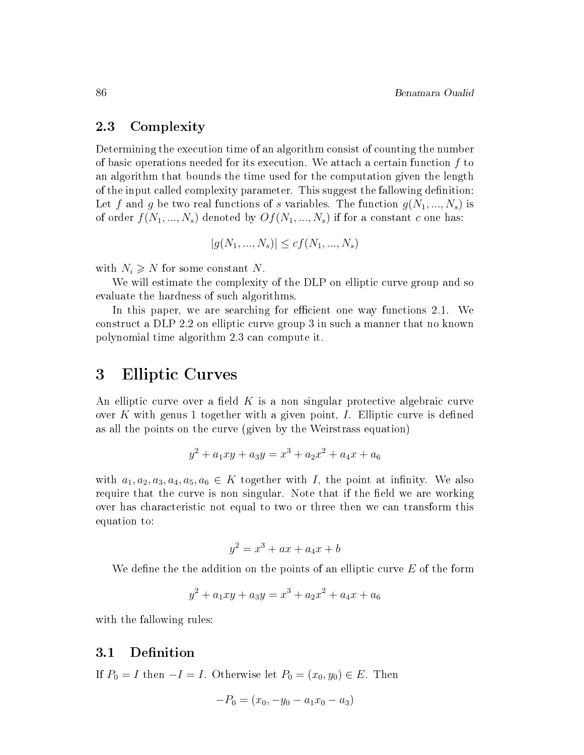#### 2.3 Complexity

Determining the execution time of an algorithm consist of counting the number of basic operations needed for its execution. We attach a certain function  $f$  to an algorithm that bounds the time used for the computation given the length of the input called complexity parameter. This suggest the fallowing denition: Let f and g be two real functions of s variables. The function  $g(N_1, ..., N_s)$  is of order  $f(N_1, ..., N_s)$  denoted by  $Of(N_1, ..., N_s)$  if for a constant c one has:

 $|g(N_1, ..., N_s)| \leq c f(N_1, ..., N_s)$ 

with  $N_i \geqslant N$  for some constant N.

We will estimate the complexity of the DLP on elliptic curve group and so evaluate the hardness of such algorithms.

In this paper, we are searching for efficient one way functions 2.1. We construct a DLP 2.2 on elliptic curve group 3 in such a manner that no known polynomial time algorithm 2.3 can compute it.

### 3 Elliptic Curves

An elliptic curve over a field  $K$  is a non singular protective algebraic curve over K with genus 1 together with a given point, I. Elliptic curve is defined as all the points on the curve (given by the Weirstrass equation)

$$
y^2 + a_1xy + a_3y = x^3 + a_2x^2 + a_4x + a_6
$$

with  $a_1, a_2, a_3, a_4, a_5, a_6 \in K$  together with I, the point at infinity. We also require that the curve is non singular. Note that if the field we are working over has characteristic not equal to two or three then we can transform this equation to:

$$
y^2 = x^3 + ax + a_4x + b
$$

We define the the addition on the points of an elliptic curve  $E$  of the form

$$
y^2 + a_1xy + a_3y = x^3 + a_2x^2 + a_4x + a_6
$$

with the fallowing rules:

#### 3.1 Definition

If  $P_0 = I$  then  $-I = I$ . Otherwise let  $P_0 = (x_0, y_0) \in E$ . Then

$$
-P_0 = (x_0, -y_0 - a_1x_0 - a_3)
$$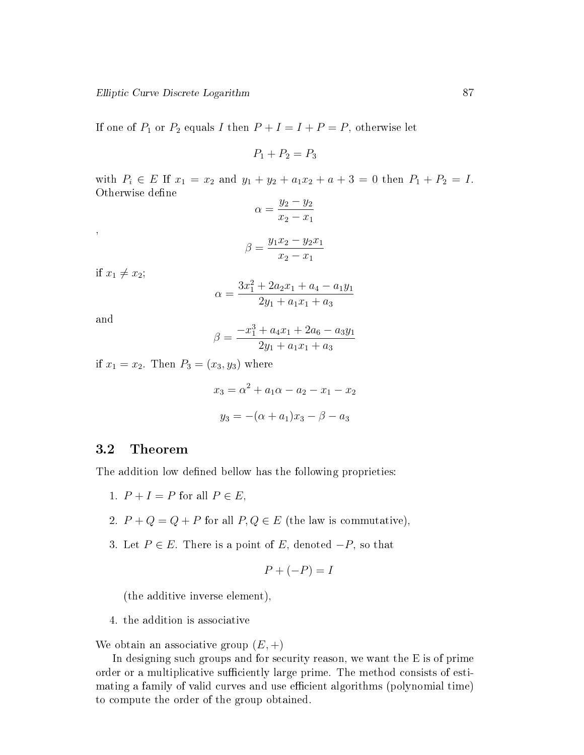Elliptic Curve Discrete Logarithm 87

If one of  $P_1$  or  $P_2$  equals I then  $P + I = I + P = P$ , otherwise let

$$
P_1 + P_2 = P_3
$$

with  $P_i \in E$  If  $x_1 = x_2$  and  $y_1 + y_2 + a_1x_2 + a_1x_3 = 0$  then  $P_1 + P_2 = I$ . Otherwise define

$$
\alpha = \frac{y_2 - y_2}{x_2 - x_1}
$$

$$
\beta = \frac{y_1 x_2 - y_2 x_1}{x_2 - x_1}
$$

if  $x_1 \neq x_2$ ;

$$
\alpha = \frac{3x_1^2 + 2a_2x_1 + a_4 - a_1y_1}{2y_1 + a_1x_1 + a_3}
$$

and

,

$$
\beta = \frac{-x_1^3 + a_4x_1 + 2a_6 - a_3y_1}{2y_1 + a_1x_1 + a_3}
$$

if  $x_1 = x_2$ . Then  $P_3 = (x_3, y_3)$  where

$$
x_3 = \alpha^2 + a_1 \alpha - a_2 - x_1 - x_2
$$
  

$$
y_3 = -(\alpha + a_1)x_3 - \beta - a_3
$$

#### 3.2 Theorem

The addition low defined bellow has the following proprieties:

- 1.  $P + I = P$  for all  $P \in E$ ,
- 2.  $P + Q = Q + P$  for all  $P, Q \in E$  (the law is commutative),
- 3. Let  $P \in E$ . There is a point of E, denoted  $-P$ , so that

$$
P + (-P) = I
$$

(the additive inverse element),

4. the addition is associative

We obtain an associative group  $(E,+)$ 

In designing such groups and for security reason, we want the E is of prime order or a multiplicative sufficiently large prime. The method consists of estimating a family of valid curves and use efficient algorithms (polynomial time) to compute the order of the group obtained.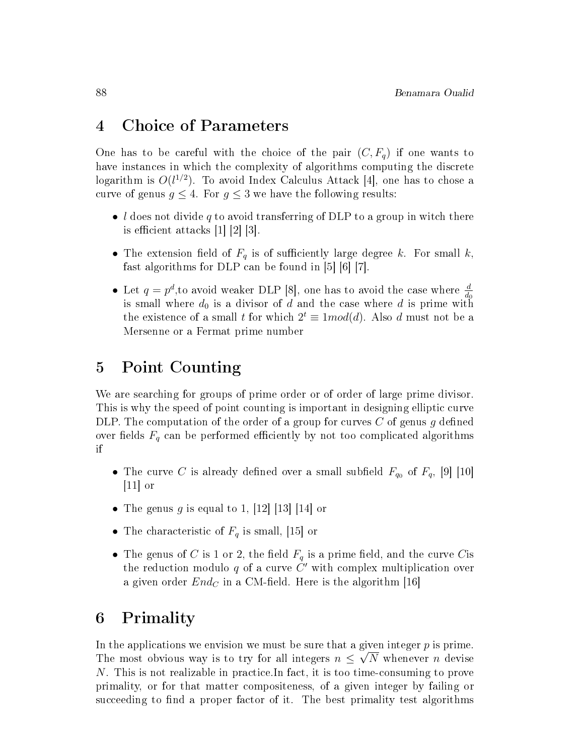### 4 Choice of Parameters

One has to be careful with the choice of the pair  $(C, F_q)$  if one wants to have instances in which the complexity of algorithms computing the discrete logarithm is  $O(l^{1/2})$ . To avoid Index Calculus Attack [4], one has to chose a curve of genus  $q \leq 4$ . For  $q \leq 3$  we have the following results:

- l does not divide q to avoid transferring of DLP to a group in witch there is efficient attacks  $[1]$   $[2]$   $[3]$ .
- The extension field of  $F_q$  is of sufficiently large degree k. For small k, fast algorithms for DLP can be found in [5] [6] [7].
- Let  $q = p^d$ , to avoid weaker DLP [8], one has to avoid the case where  $\frac{d}{d_0}$ is small where  $d_0$  is a divisor of d and the case where d is prime with the existence of a small t for which  $2^t \equiv 1 \mod(d)$ . Also d must not be a Mersenne or a Fermat prime number

## 5 Point Counting

We are searching for groups of prime order or of order of large prime divisor. This is why the speed of point counting is important in designing elliptic curve DLP. The computation of the order of a group for curves  $C$  of genus g defined over fields  $F_q$  can be performed efficiently by not too complicated algorithms if

- The curve C is already defined over a small subfield  $F_{q0}$  of  $F_q$ , [9] [10] [11] or
- The genus g is equal to 1, [12] [13] [14] or
- The characteristic of  $F_q$  is small, [15] or
- The genus of C is 1 or 2, the field  $F_q$  is a prime field, and the curve C is the reduction modulo  $q$  of a curve  $C'$  with complex multiplication over a given order  $End_C$  in a CM-field. Here is the algorithm [16]

# 6 Primality

In the applications we envision we must be sure that a given integer  $p$  is prime. The most obvious way is to try for all integers  $n \leq \sqrt{N}$  whenever n devise N. This is not realizable in practice.In fact, it is too time-consuming to prove primality, or for that matter compositeness, of a given integer by failing or succeeding to find a proper factor of it. The best primality test algorithms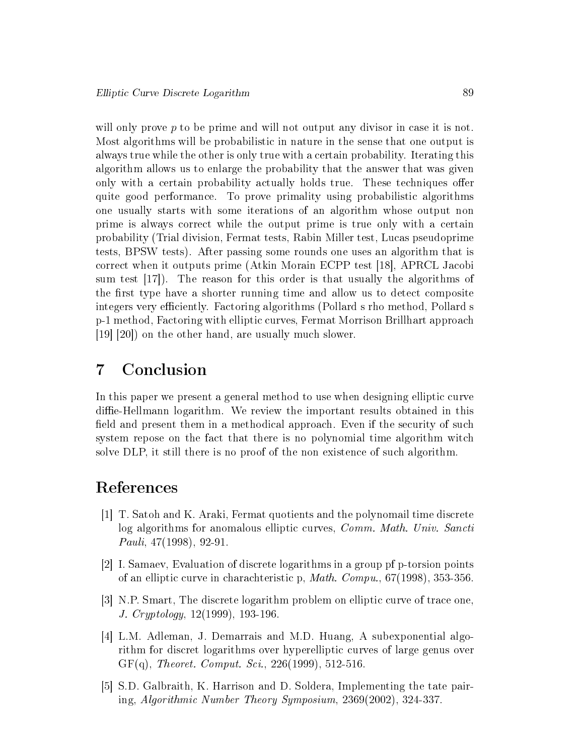will only prove  $p$  to be prime and will not output any divisor in case it is not. Most algorithms will be probabilistic in nature in the sense that one output is always true while the other is only true with a certain probability. Iterating this algorithm allows us to enlarge the probability that the answer that was given only with a certain probability actually holds true. These techniques offer quite good performance. To prove primality using probabilistic algorithms one usually starts with some iterations of an algorithm whose output non prime is always correct while the output prime is true only with a certain probability (Trial division, Fermat tests, Rabin Miller test, Lucas pseudoprime tests, BPSW tests). After passing some rounds one uses an algorithm that is correct when it outputs prime (Atkin Morain ECPP test [18], APRCL Jacobi sum test [17]). The reason for this order is that usually the algorithms of the first type have a shorter running time and allow us to detect composite integers very efficiently. Factoring algorithms (Pollard s rho method, Pollard s p-1 method, Factoring with elliptic curves, Fermat Morrison Brillhart approach [19] [20]) on the other hand, are usually much slower.

# 7 Conclusion

In this paper we present a general method to use when designing elliptic curve diffie-Hellmann logarithm. We review the important results obtained in this field and present them in a methodical approach. Even if the security of such system repose on the fact that there is no polynomial time algorithm witch solve DLP, it still there is no proof of the non existence of such algorithm.

## References

- [1] T. Satoh and K. Araki, Fermat quotients and the polynomail time discrete log algorithms for anomalous elliptic curves, Comm. Math. Univ. Sancti Pauli, 47(1998), 92-91.
- [2] I. Samaev, Evaluation of discrete logarithms in a group pf p-torsion points of an elliptic curve in charachteristic p, *Math. Compu.*,  $67(1998)$ ,  $353-356$ .
- [3] N.P. Smart, The discrete logarithm problem on elliptic curve of trace one, J. Cryptology, 12(1999), 193-196.
- [4] L.M. Adleman, J. Demarrais and M.D. Huang, A subexponential algorithm for discret logarithms over hyperelliptic curves of large genus over  $GF(q)$ , Theoret. Comput. Sci., 226(1999), 512-516.
- [5] S.D. Galbraith, K. Harrison and D. Soldera, Implementing the tate pairing, Algorithmic Number Theory Symposium, 2369(2002), 324-337.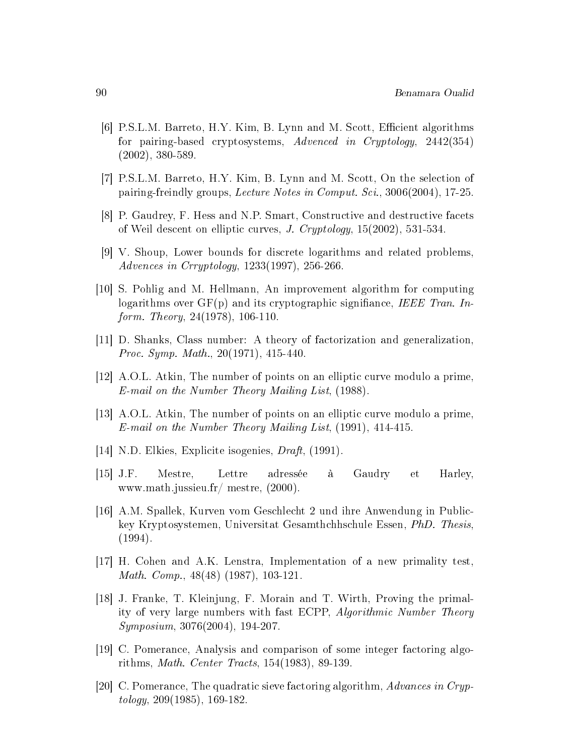- [6] P.S.L.M. Barreto, H.Y. Kim, B. Lynn and M. Scott, Efficient algorithms for pairing-based cryptosystems, Advenced in Cryptology, 2442(354) (2002), 380-589.
- [7] P.S.L.M. Barreto, H.Y. Kim, B. Lynn and M. Scott, On the selection of pairing-freindly groups, Lecture Notes in Comput. Sci., 3006(2004), 17-25.
- [8] P. Gaudrey, F. Hess and N.P. Smart, Constructive and destructive facets of Weil descent on elliptic curves, J. Cryptology,  $15(2002)$ ,  $531-534$ .
- [9] V. Shoup, Lower bounds for discrete logarithms and related problems, Advences in Crryptology, 1233(1997), 256-266.
- [10] S. Pohlig and M. Hellmann, An improvement algorithm for computing logarithms over  $GF(p)$  and its cryptographic signifiance, IEEE Tran. In*form. Theory*,  $24(1978)$ ,  $106-110$ .
- [11] D. Shanks, Class number: A theory of factorization and generalization, Proc. Symp. Math., 20(1971), 415-440.
- [12] A.O.L. Atkin, The number of points on an elliptic curve modulo a prime, E-mail on the Number Theory Mailing List, (1988).
- [13] A.O.L. Atkin, The number of points on an elliptic curve modulo a prime, E-mail on the Number Theory Mailing List, (1991), 414-415.
- [14] N.D. Elkies, Explicite isogenies, Draft, (1991).
- [15] J.F. Mestre, Lettre adressée à Gaudry et Harley, www.math.jussieu.fr/ mestre, (2000).
- [16] A.M. Spallek, Kurven vom Geschlecht 2 und ihre Anwendung in Publickey Kryptosystemen, Universitat Gesamthchhschule Essen, PhD. Thesis, (1994).
- [17] H. Cohen and A.K. Lenstra, Implementation of a new primality test, Math. Comp., 48(48) (1987), 103-121.
- [18] J. Franke, T. Kleinjung, F. Morain and T. Wirth, Proving the primality of very large numbers with fast ECPP, Algorithmic Number Theory Symposium, 3076(2004), 194-207.
- [19] C. Pomerance, Analysis and comparison of some integer factoring algorithms, Math. Center Tracts, 154(1983), 89-139.
- [20] C. Pomerance, The quadratic sieve factoring algorithm, Advances in Cryptology, 209(1985), 169-182.